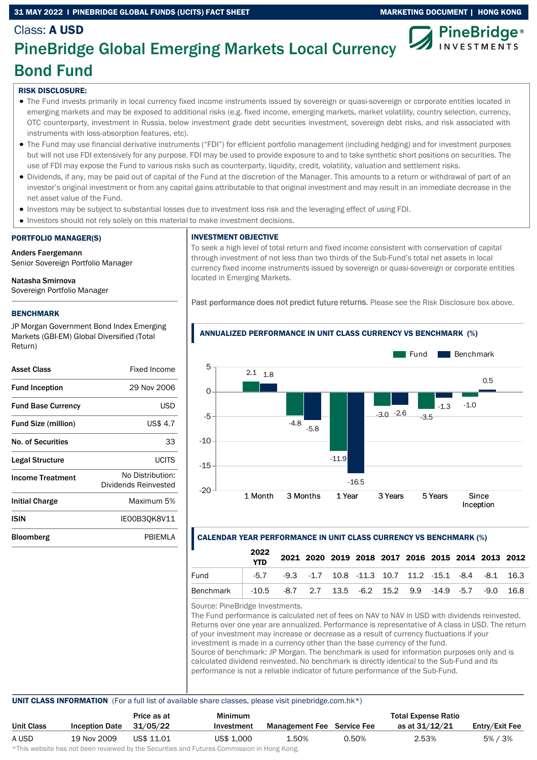## 31 MAY 2022 I PINEBRIDGE GLOBAL FUNDS (UCITS) FACT SHEET MARKETING DOCUMENT | HONG KONG



# Class: A USD PineBridge Global Emerging Markets Local Currency Bond Fund

## RISK DISCLOSURE:

- The Fund invests primarily in local currency fixed income instruments issued by sovereign or quasi-sovereign or corporate entities located in emerging markets and may be exposed to additional risks (e.g. fixed income, emerging markets, market volatility, country selection, currency, OTC counterparty, investment in Russia, below investment grade debt securities investment, sovereign debt risks, and risk associated with instruments with loss-absorption features, etc).
- The Fund may use financial derivative instruments ("FDI") for efficient portfolio management (including hedging) and for investment purposes but will not use FDI extensively for any purpose. FDI may be used to provide exposure to and to take synthetic short positions on securities. The use of FDI may expose the Fund to various risks such as counterparty, liquidity, credit, volatility, valuation and settlement risks.
- Dividends, if any, may be paid out of capital of the Fund at the discretion of the Manager. This amounts to a return or withdrawal of part of an investor's original investment or from any capital gains attributable to that original investment and may result in an immediate decrease in the net asset value of the Fund.
- Investors may be subject to substantial losses due to investment loss risk and the leveraging effect of using FDI.
- Investors should not rely solely on this material to make investment decisions.

## PORTFOLIO MANAGER(S)

Anders Faergemann Senior Sovereign Portfolio Manager

## Natasha Smirnova

Sovereign Portfolio Manager

## BENCHMARK

JP Morgan Government Bond Index Emerging Markets (GBI-EM) Global Diversified (Total Return)

| <b>Asset Class</b>         | Fixed Income                             |
|----------------------------|------------------------------------------|
| <b>Fund Inception</b>      | 29 Nov 2006                              |
| <b>Fund Base Currency</b>  | USD                                      |
| <b>Fund Size (million)</b> | US\$ 4.7                                 |
| No. of Securities          | 33                                       |
| Legal Structure            | LICITS                                   |
| <b>Income Treatment</b>    | No Distribution:<br>Dividends Reinvested |
| <b>Initial Charge</b>      | Maximum 5%                               |
| ISIN                       | IE00B30K8V11                             |
| Bloomberg                  | PRIFMI A                                 |
|                            |                                          |

### INVESTMENT OBJECTIVE

To seek a high level of total return and fixed income consistent with conservation of capital through investment of not less than two thirds of the Sub-Fund's total net assets in local currency fixed income instruments issued by sovereign or quasi-sovereign or corporate entities located in Emerging Markets.

Past performance does not predict future returns. Please see the Risk Disclosure box above.



### ANNUALIZED PERFORMANCE IN UNIT CLASS CURRENCY VS BENCHMARK (%)

## CALENDAR YEAR PERFORMANCE IN UNIT CLASS CURRENCY VS BENCHMARK (%)

|                  | 2022<br><b>YTD</b> |                                                                              |  | 2021 2020 2019 2018 2017 2016 2015 2014 2013 2012 |  |  |  |
|------------------|--------------------|------------------------------------------------------------------------------|--|---------------------------------------------------|--|--|--|
| Fund             |                    | $-5.7$ $-9.3$ $-1.7$ 10.8 $-11.3$ 10.7 11.2 $-15.1$ $-8.4$ $-8.1$ 16.3       |  |                                                   |  |  |  |
| <b>Benchmark</b> |                    | $-10.5$ $-8.7$ $2.7$ $13.5$ $-6.2$ $15.2$ $9.9$ $-14.9$ $-5.7$ $-9.0$ $16.8$ |  |                                                   |  |  |  |
|                  |                    |                                                                              |  |                                                   |  |  |  |

Source: PineBridge Investments.

The Fund performance is calculated net of fees on NAV to NAV in USD with dividends reinvested. Returns over one year are annualized. Performance is representative of A class in USD. The return of your investment may increase or decrease as a result of currency fluctuations if your investment is made in a currency other than the base currency of the fund. Source of benchmark: JP Morgan. The benchmark is used for information purposes only and is calculated dividend reinvested. No benchmark is directly identical to the Sub-Fund and its performance is not a reliable indicator of future performance of the Sub-Fund.

### UNIT CLASS INFORMATION (For a full list of available share classes, please visit pinebridge.com.hk\*)

|                   |                       | Price as at | Minimum    |                                   |       | <b>Total Expense Ratio</b> |                |
|-------------------|-----------------------|-------------|------------|-----------------------------------|-------|----------------------------|----------------|
| <b>Unit Class</b> | <b>Inception Date</b> | 31/05/22    | Investment | <b>Management Fee</b> Service Fee |       | as at 31/12/21             | Entry/Exit Fee |
| A USD             | 19 Nov 2009           | US\$ 11.01  | US\$ 1.000 | 1.50%                             | 0.50% | 2.53%                      | 5% / 3%        |
|                   |                       |             |            |                                   |       |                            |                |

\*This website has not been reviewed by the Securities and Futures Commission in Hong Kong.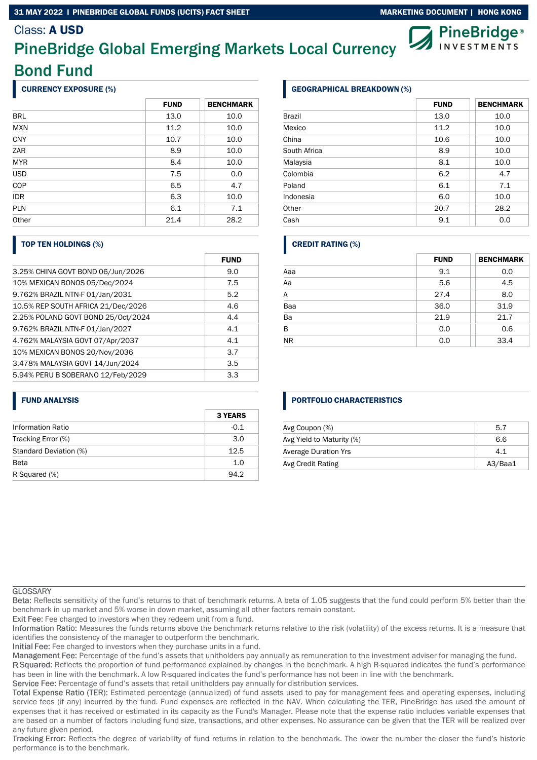### 31 MAY 2022 I PINEBRIDGE GLOBAL FUNDS (UCITS) FACT SHEET MARKETING DOCUMENT | HONG KONG

## Class: A USD

# PineBridge Global Emerging Markets Local Currency Bond Fund

### CURRENCY EXPOSURE (%)

|            | <b>FUND</b> | <b>BENCHMARK</b> |
|------------|-------------|------------------|
| <b>BRL</b> | 13.0        | 10.0             |
| <b>MXN</b> | 11.2        | 10.0             |
| <b>CNY</b> | 10.7        | 10.0             |
| ZAR        | 8.9         | 10.0             |
| <b>MYR</b> | 8.4         | 10.0             |
| <b>USD</b> | 7.5         | 0.0              |
| COP        | 6.5         | 4.7              |
| <b>IDR</b> | 6.3         | 10.0             |
| <b>PLN</b> | 6.1         | 7.1              |
| Other      | 21.4        | 28.2             |

### TOP TEN HOLDINGS (%)

|                                    | <b>FUND</b> |
|------------------------------------|-------------|
| 3.25% CHINA GOVT BOND 06/Jun/2026  | 9.0         |
| 10% MEXICAN BONOS 05/Dec/2024      | 7.5         |
| 9.762% BRAZIL NTN-F 01/Jan/2031    | 5.2         |
| 10.5% REP SOUTH AFRICA 21/Dec/2026 | 4.6         |
| 2.25% POLAND GOVT BOND 25/Oct/2024 | 4.4         |
| 9.762% BRAZIL NTN-F 01/Jan/2027    | 4.1         |
| 4.762% MALAYSIA GOVT 07/Apr/2037   | 4.1         |
| 10% MEXICAN BONOS 20/Nov/2036      | 3.7         |
| 3.478% MALAYSIA GOVT 14/Jun/2024   | 3.5         |
| 5.94% PERU B SOBERANO 12/Feb/2029  | 3.3         |

### FUND ANALYSIS

|                          | <b>3 YEARS</b> |
|--------------------------|----------------|
| <b>Information Ratio</b> | $-0.1$         |
| Tracking Error (%)       | 3.0            |
| Standard Deviation (%)   | 12.5           |
| <b>Beta</b>              | 1.0            |
| R Squared (%)            | 94.2           |

## GEOGRAPHICAL BREAKDOWN (%)

|              | <b>FUND</b> | <b>BENCHMARK</b> |
|--------------|-------------|------------------|
| Brazil       | 13.0        | 10.0             |
| Mexico       | 11.2        | 10.0             |
| China        | 10.6        | 10.0             |
| South Africa | 8.9         | 10.0             |
| Malaysia     | 8.1         | 10.0             |
| Colombia     | 6.2         | 4.7              |
| Poland       | 6.1         | 7.1              |
| Indonesia    | 6.0         | 10.0             |
| Other        | 20.7        | 28.2             |
| Cash         | 9.1         | 0.0              |

## CREDIT RATING (%)

|           | <b>FUND</b> | <b>BENCHMARK</b> |
|-----------|-------------|------------------|
| Aaa       | 9.1         | 0.0              |
| Aa        | 5.6         | 4.5              |
| A         | 27.4        | 8.0              |
| Baa       | 36.0        | 31.9             |
| Ba        | 21.9        | 21.7             |
| B         | 0.0         | 0.6              |
| <b>NR</b> | 0.0         | 33.4             |

## PORTFOLIO CHARACTERISTICS

| Avg Coupon (%)              | 5.7     |
|-----------------------------|---------|
| Avg Yield to Maturity (%)   | 6.6     |
| <b>Average Duration Yrs</b> | 4.1     |
| Avg Credit Rating           | A3/Baa1 |

#### **GLOSSARY**

Reflects sensitivity of the fund's returns to that of benchmark returns. A beta of 1.05 suggests that the fund could perform 5% better than the benchmark in up market and 5% worse in down market, assuming all other factors remain constant.

Exit Fee: Fee charged to investors when they redeem unit from a fund.

Information Ratio: Measures the funds returns above the benchmark returns relative to the risk (volatility) of the excess returns. It is a measure that identifies the consistency of the manager to outperform the benchmark.

Initial Fee: Fee charged to investors when they purchase units in a fund.

Management Fee: Percentage of the fund's assets that unitholders pay annually as remuneration to the investment adviser for managing the fund.

R Squared: Reflects the proportion of fund performance explained by changes in the benchmark. A high R-squared indicates the fund's performance has been in line with the benchmark. A low R-squared indicates the fund's performance has not been in line with the benchmark.

Service Fee: Percentage of fund's assets that retail unitholders pay annually for distribution services.

Total Expense Ratio (TER): Estimated percentage (annualized) of fund assets used to pay for management fees and operating expenses, including service fees (if any) incurred by the fund. Fund expenses are reflected in the NAV. When calculating the TER, PineBridge has used the amount of expenses that it has received or estimated in its capacity as the Fund's Manager. Please note that the expense ratio includes variable expenses that are based on a number of factors including fund size, transactions, and other expenses. No assurance can be given that the TER will be realized over any future given period.

Tracking Error: Reflects the degree of variability of fund returns in relation to the benchmark. The lower the number the closer the fund's historic performance is to the benchmark.